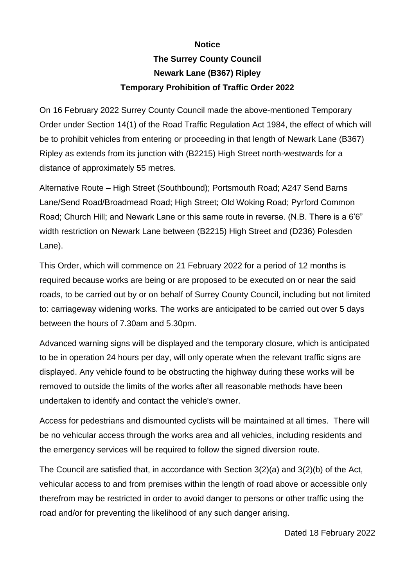## **Notice**

## **The Surrey County Council Newark Lane (B367) Ripley Temporary Prohibition of Traffic Order 2022**

On 16 February 2022 Surrey County Council made the above-mentioned Temporary Order under Section 14(1) of the Road Traffic Regulation Act 1984, the effect of which will be to prohibit vehicles from entering or proceeding in that length of Newark Lane (B367) Ripley as extends from its junction with (B2215) High Street north-westwards for a distance of approximately 55 metres.

Alternative Route – High Street (Southbound); Portsmouth Road; A247 Send Barns Lane/Send Road/Broadmead Road; High Street; Old Woking Road; Pyrford Common Road; Church Hill; and Newark Lane or this same route in reverse. (N.B. There is a 6'6" width restriction on Newark Lane between (B2215) High Street and (D236) Polesden Lane).

This Order, which will commence on 21 February 2022 for a period of 12 months is required because works are being or are proposed to be executed on or near the said roads, to be carried out by or on behalf of Surrey County Council, including but not limited to: carriageway widening works. The works are anticipated to be carried out over 5 days between the hours of 7.30am and 5.30pm.

Advanced warning signs will be displayed and the temporary closure, which is anticipated to be in operation 24 hours per day, will only operate when the relevant traffic signs are displayed. Any vehicle found to be obstructing the highway during these works will be removed to outside the limits of the works after all reasonable methods have been undertaken to identify and contact the vehicle's owner.

Access for pedestrians and dismounted cyclists will be maintained at all times. There will be no vehicular access through the works area and all vehicles, including residents and the emergency services will be required to follow the signed diversion route.

The Council are satisfied that, in accordance with Section 3(2)(a) and 3(2)(b) of the Act, vehicular access to and from premises within the length of road above or accessible only therefrom may be restricted in order to avoid danger to persons or other traffic using the road and/or for preventing the likelihood of any such danger arising.